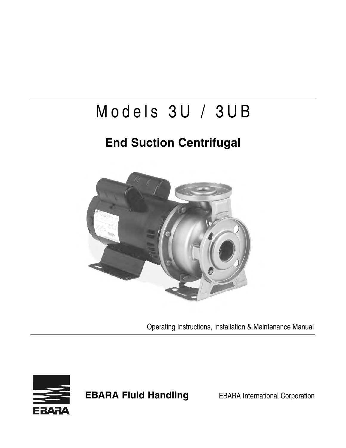# Models 3U / 3UB

## **End Suction Centrifugal**



Operating Instructions, Installation & Maintenance Manual



**EBARA Fluid Handling** EBARA International Corporation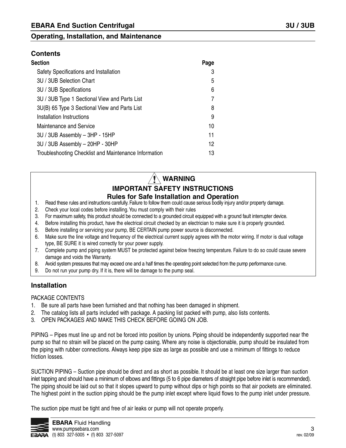#### **Contents**

| Section                                               | Page |
|-------------------------------------------------------|------|
| Safety Specifications and Installation                | 3    |
| 3U / 3UB Selection Chart                              | 5    |
| 3U / 3UB Specifications                               | 6    |
| 3U / 3UB Type 1 Sectional View and Parts List         | 7    |
| 3U(B) 65 Type 3 Sectional View and Parts List         | 8    |
| Installation Instructions                             | 9    |
| <b>Maintenance and Service</b>                        | 10   |
| 3U / 3UB Assembly - 3HP - 15HP                        | 11   |
| 3U / 3UB Assembly - 20HP - 30HP                       | 12   |
| Troubleshooting Checklist and Maintenance Information | 13   |
|                                                       |      |

#### **IMPORTANT SAFETY INSTRUCTIONS WARNING**

#### **Rules for Safe Installation and Operation**

- 1. Read these rules and instructions carefully. Failure to follow them could cause serious bodily injury and/or property damage.
- 2. Check your local codes before installing. You must comply with their rules
- 3. For maximum safety, this product should be connected to a grounded circuit equipped with a ground fault interrupter device.
- 4. Before installing this product, have the electrical circuit checked by an electrician to make sure it is properly grounded.
- 5. Before installing or servicing your pump, BE CERTAIN pump power source is disconnected.
- 6. Make sure the line voltage and frequency of the electrical current supply agrees with the motor wiring. If motor is dual voltage type, BE SURE it is wired correctly for your power supply.
- 7. Complete pump and piping system MUST be protected against below freezing temperature. Failure to do so could cause severe damage and voids the Warranty.
- 8. Avoid system pressures that may exceed one and a half times the operating point selected from the pump performance curve.
- 9. Do not run your pump dry. If it is, there will be damage to the pump seal.

#### **Installation**

#### PACKAGE CONTENTS

- 1. Be sure all parts have been furnished and that nothing has been damaged in shipment.
- 2. The catalog lists all parts included with package. A packing list packed with pump, also lists contents.
- 3. OPEN PACKAGES AND MAKE THIS CHECK BEFORE GOING ON JOB.

PIPING – Pipes must line up and not be forced into position by unions. Piping should be independently supported near the pump so that no strain will be placed on the pump casing. Where any noise is objectionable, pump should be insulated from the piping with rubber connections. Always keep pipe size as large as possible and use a minimum of fittings to reduce friction losses.

SUCTION PIPING – Suction pipe should be direct and as short as possible. It should be at least one size larger than suction inlet tapping and should have a minimum of elbows and fittings (5 to 6 pipe diameters of straight pipe before inlet is recommended). The piping should be laid out so that it slopes upward to pump without dips or high points so that air pockets are eliminated. The highest point in the suction piping should be the pump inlet except where liquid flows to the pump inlet under pressure.

The suction pipe must be tight and free of air leaks or pump will not operate properly.

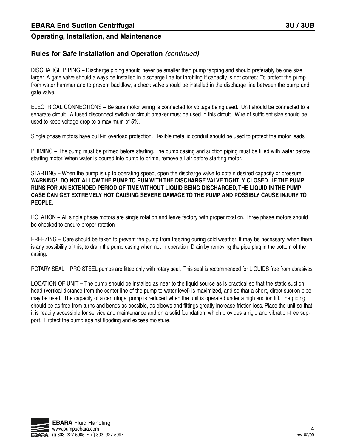#### **Rules for Safe Installation and Operation (**continued**)**

DISCHARGE PIPING – Discharge piping should never be smaller than pump tapping and should preferably be one size larger. A gate valve should always be installed in discharge line for throttling if capacity is not correct. To protect the pump from water hammer and to prevent backflow, a check valve should be installed in the discharge line between the pump and gate valve.

ELECTRICAL CONNECTIONS – Be sure motor wiring is connected for voltage being used. Unit should be connected to a separate circuit. A fused disconnect switch or circuit breaker must be used in this circuit. Wire of sufficient size should be used to keep voltage drop to a maximum of 5%.

Single phase motors have built-in overload protection. Flexible metallic conduit should be used to protect the motor leads.

PRIMING – The pump must be primed before starting. The pump casing and suction piping must be filled with water before starting motor. When water is poured into pump to prime, remove all air before starting motor.

STARTING – When the pump is up to operating speed, open the discharge valve to obtain desired capacity or pressure. **WARNING! DO NOT ALLOW THE PUMP TO RUN WITH THE DISCHARGE VALVE TIGHTLY CLOSED. IF THE PUMP RUNS FOR AN EXTENDED PERIOD OF TIME WITHOUT LIQUID BEING DISCHARGED, THE LIQUID IN THE PUMP CASE CAN GET EXTREMELY HOT CAUSING SEVERE DAMAGE TO THE PUMP AND POSSIBLY CAUSE INJURY TO PEOPLE.**

ROTATION – All single phase motors are single rotation and leave factory with proper rotation. Three phase motors should be checked to ensure proper rotation

FREEZING – Care should be taken to prevent the pump from freezing during cold weather. It may be necessary, when there is any possibility of this, to drain the pump casing when not in operation. Drain by removing the pipe plug in the bottom of the casing.

ROTARY SEAL – PRO STEEL pumps are fitted only with rotary seal. This seal is recommended for LIQUIDS free from abrasives.

LOCATION OF UNIT – The pump should be installed as near to the liquid source as is practical so that the static suction head (vertical distance from the center line of the pump to water level) is maximized, and so that a short, direct suction pipe may be used. The capacity of a centrifugal pump is reduced when the unit is operated under a high suction lift. The piping should be as free from turns and bends as possible, as elbows and fittings greatly increase friction loss. Place the unit so that it is readily accessible for service and maintenance and on a solid foundation, which provides a rigid and vibration-free support. Protect the pump against flooding and excess moisture.

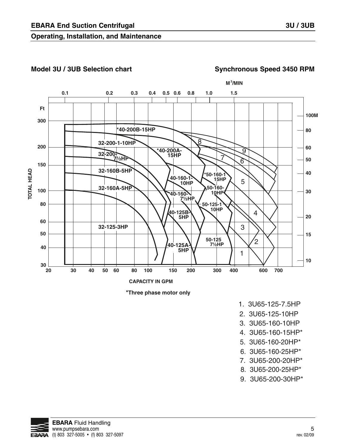#### Model 3U / 3UB Selection chart Synchronous Speed 3450 RPM





- 1. 3U65-125-7.5HP
- 2. 3U65-125-10HP
- 3. 3U65-160-10HP
- 4. 3U65-160-15HP\*
- 5. 3U65-160-20HP\*
- 6. 3U65-160-25HP\*
- 7. 3U65-200-20HP\*
- 8. 3U65-200-25HP\*
- 9. 3U65-200-30HP\*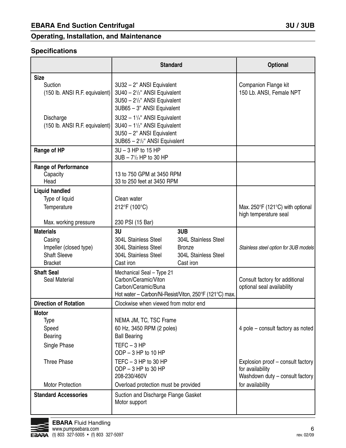#### **Specifications**

|                                                                                               | <b>Standard</b>                                                                                                                                                              | <b>Optional</b>                                                                                              |
|-----------------------------------------------------------------------------------------------|------------------------------------------------------------------------------------------------------------------------------------------------------------------------------|--------------------------------------------------------------------------------------------------------------|
| <b>Size</b><br>Suction<br>(150 lb. ANSI R.F. equivalent)                                      | 3U32 - 2" ANSI Equivalent<br>3U40 - 2 <sup>1</sup> / <sub>2</sub> " ANSI Equivalent<br>3U50 - 2 <sup>1</sup> / <sub>2</sub> " ANSI Equivalent<br>3UB65 - 3" ANSI Equivalent  | Companion Flange kit<br>150 Lb. ANSI, Female NPT                                                             |
| Discharge<br>(150 lb. ANSI R.F. equivalent)                                                   | 3U32 - 11/4" ANSI Equivalent<br>3U40 - 11/2" ANSI Equivalent<br>3U50 - 2" ANSI Equivalent<br>3UB65 - 2 <sup>1</sup> / <sub>2</sub> " ANSI Equivalent                         |                                                                                                              |
| Range of HP                                                                                   | $3U - 3 HP$ to 15 HP<br>$3UB - 7\frac{1}{2} HP$ to 30 HP                                                                                                                     |                                                                                                              |
| <b>Range of Performance</b><br>Capacity<br>Head                                               | 13 to 750 GPM at 3450 RPM<br>33 to 250 feet at 3450 RPM                                                                                                                      |                                                                                                              |
| <b>Liquid handled</b><br>Type of liquid                                                       | Clean water                                                                                                                                                                  |                                                                                                              |
| Temperature<br>Max. working pressure                                                          | 212°F (100°C)<br>230 PSI (15 Bar)                                                                                                                                            | Max. 250°F (121°C) with optional<br>high temperature seal                                                    |
| <b>Materials</b><br>Casing<br>Impeller (closed type)<br><b>Shaft Sleeve</b><br><b>Bracket</b> | 3U<br>3UB<br>304L Stainless Steel<br>304L Stainless Steel<br>304L Stainless Steel<br><b>Bronze</b><br>304L Stainless Steel<br>304L Stainless Steel<br>Cast iron<br>Cast iron | Stainless steel option for 3UB models                                                                        |
| <b>Shaft Seal</b><br>Seal Material                                                            | Mechanical Seal - Type 21<br>Carbon/Ceramic/Viton<br>Carbon/Ceramic/Buna<br>Hot water – Carbon/Ni-Resist/Viton, 250°F (121°C) max.                                           | Consult factory for additional<br>optional seal availability                                                 |
| <b>Direction of Rotation</b>                                                                  | Clockwise when viewed from motor end                                                                                                                                         |                                                                                                              |
| Motor<br><b>Type</b><br>Speed<br>Bearing                                                      | NEMA JM, TC, TSC Frame<br>60 Hz, 3450 RPM (2 poles)<br><b>Ball Bearing</b>                                                                                                   | 4 pole - consult factory as noted                                                                            |
| Single Phase                                                                                  | $TEFC - 3 HP$<br>ODP - 3 HP to 10 HP                                                                                                                                         |                                                                                                              |
| Three Phase<br><b>Motor Protection</b>                                                        | TEFC $-3$ HP to 30 HP<br>ODP - 3 HP to 30 HP<br>208-230/460V<br>Overload protection must be provided                                                                         | Explosion proof - consult factory<br>for availability<br>Washdown duty - consult factory<br>for availability |
| <b>Standard Accessories</b>                                                                   | Suction and Discharge Flange Gasket<br>Motor support                                                                                                                         |                                                                                                              |

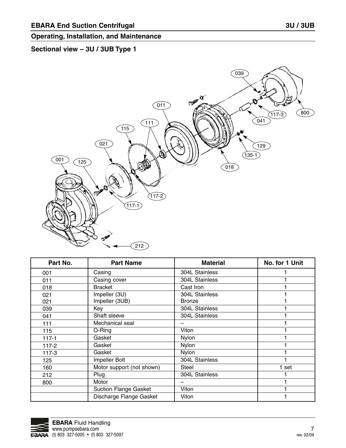#### **Sectional view – 3U / 3UB Type 1**



| Part No.  | <b>Part Name</b>             | <b>Material</b> | No. for 1 Unit |
|-----------|------------------------------|-----------------|----------------|
| 001       | Casing                       | 304L Stainless  |                |
| 011       | Casing cover                 | 304L Stainless  |                |
| 018       | <b>Bracket</b>               | Cast Iron       |                |
| 021       | Impeller (3U)                | 304L Stainless  |                |
| 021       | Impeller (3UB)               | <b>Bronze</b>   |                |
| 039       | Key                          | 304L Stainless  |                |
| 041       | Shaft sleeve                 | 304L Stainless  |                |
| 111       | Mechanical seal              |                 |                |
| 115       | O-Ring                       | Viton           |                |
| $117 - 1$ | Gasket                       | Nylon           |                |
| $117 - 2$ | Gasket                       | Nylon           |                |
| $117-3$   | Gasket                       | Nylon           |                |
| 125       | Impeller Bolt                | 304L Stainless  |                |
| 160       | Motor support (not shown)    | <b>Steel</b>    | 1 set          |
| 212       | Plug                         | 304L Stainless  |                |
| 800       | Motor                        |                 |                |
|           | <b>Suction Flange Gasket</b> | Viton           |                |
|           | Discharge Flange Gasket      | Viton           |                |

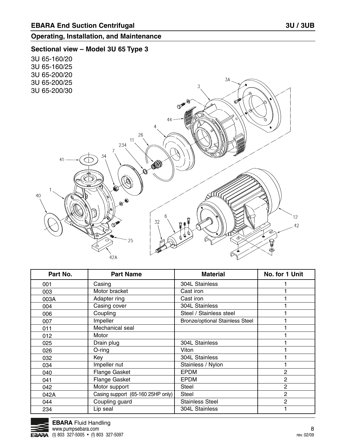#### **Sectional view – Model 3U 65 Type 3**



| Part No. | <b>Part Name</b>                  | <b>Material</b>                        | No. for 1 Unit |
|----------|-----------------------------------|----------------------------------------|----------------|
| 001      | Casing                            | 304L Stainless                         |                |
| 003      | Motor bracket                     | Cast iron                              |                |
| 003A     | Adapter ring                      | Cast iron                              |                |
| 004      | Casing cover                      | 304L Stainless                         |                |
| 006      | Coupling                          | Steel / Stainless steel                |                |
| 007      | Impeller                          | <b>Bronze/optional Stainless Steel</b> |                |
| 011      | Mechanical seal                   |                                        |                |
| 012      | Motor                             |                                        |                |
| 025      | Drain plug                        | 304L Stainless                         |                |
| 026      | $O$ -ring                         | Viton                                  |                |
| 032      | Key                               | 304L Stainless                         |                |
| 034      | Impeller nut                      | Stainless / Nylon                      |                |
| 040      | <b>Flange Gasket</b>              | <b>EPDM</b>                            | 2              |
| 041      | Flange Gasket                     | <b>EPDM</b>                            | 2              |
| 042      | Motor support                     | <b>Steel</b>                           | $\overline{2}$ |
| 042A     | Casing support (65-160 25HP only) | <b>Steel</b>                           | $\overline{2}$ |
| 044      | Coupling guard                    | <b>Stainless Steel</b>                 | $\overline{2}$ |
| 234      | Lip seal                          | 304L Stainless                         |                |

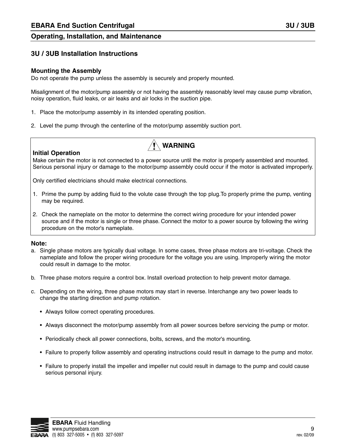#### **3U / 3UB Installation Instructions**

#### **Mounting the Assembly**

Do not operate the pump unless the assembly is securely and properly mounted.

Misalignment of the motor/pump assembly or not having the assembly reasonably level may cause pump vibration, noisy operation, fluid leaks, or air leaks and air locks in the suction pipe.

- 1. Place the motor/pump assembly in its intended operating position.
- 2. Level the pump through the centerline of the motor/pump assembly suction port.



**WARNING**

Make certain the motor is not connected to a power source until the motor is properly assembled and mounted. Serious personal injury or damage to the motor/pump assembly could occur if the motor is activated improperly.

Only certified electricians should make electrical connections.

- 1. Prime the pump by adding fluid to the volute case through the top plug. To properly prime the pump, venting may be required.
- 2. Check the nameplate on the motor to determine the correct wiring procedure for your intended power source and if the motor is single or three phase. Connect the motor to a power source by following the wiring procedure on the motor's nameplate.

#### **Note:**

- a. Single phase motors are typically dual voltage. In some cases, three phase motors are tri-voltage. Check the nameplate and follow the proper wiring procedure for the voltage you are using. Improperly wiring the motor could result in damage to the motor.
- b. Three phase motors require a control box. Install overload protection to help prevent motor damage.
- c. Depending on the wiring, three phase motors may start in reverse. Interchange any two power leads to change the starting direction and pump rotation.
	- Always follow correct operating procedures.
	- Always disconnect the motor/pump assembly from all power sources before servicing the pump or motor.
	- Periodically check all power connections, bolts, screws, and the motor's mounting.
	- Failure to properly follow assembly and operating instructions could result in damage to the pump and motor.
	- Failure to properly install the impeller and impeller nut could result in damage to the pump and could cause serious personal injury.

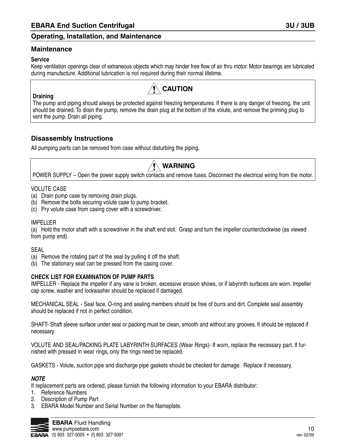#### **Maintenance**

#### **Service**

**Draining**

Keep ventilation openings clear of extraneous objects which may hinder free flow of air thru motor. Motor bearings are lubricated during manufacture. Additional lubrication is not required during their normal lifetime.

### **CAUTION**

The pump and piping should always be protected against freezing temperatures. If there is any danger of freezing, the unit should be drained. To drain the pump, remove the drain plug at the bottom of the volute, and remove the priming plug to vent the pump. Drain all piping.

#### **Disassembly Instructions**

All pumping parts can be removed from case without disturbing the piping.

### **WARNING**

POWER SUPPLY – Open the power supply switch contacts and remove fuses. Disconnect the electrical wiring from the motor.

#### VOLUTE CASE

- (a) Drain pump case by removing drain plugs.
- (b) Remove the bolts securing volute case to pump bracket.
- (c) Pry volute case from casing cover with a screwdriver.

#### IMPELLER

(a) Hold the motor shaft with a screwdriver in the shaft end slot. Grasp and turn the impeller counterclockwise (as viewed from pump end).

#### SEAL

- (a) Remove the rotating part of the seal by pulling it off the shaft.
- (b) The stationary seat can be pressed from the casing cover.

#### **CHECK LIST FOR EXAMINATION OF PUMP PARTS**

IMPELLER - Replace the impeller if any vane is broken, excessive erosion shows, or if labyrinth surfaces are worn. Impeller cap screw, washer and lockwasher should be replaced if damaged.

MECHANICAL SEAL - Seal face, O-ring and sealing members should be free of burrs and dirt. Complete seal assembly should be replaced if not in perfect condition.

SHAFT- Shaft sleeve surface under seal or packing must be clean, smooth and without any grooves. It should be replaced if necessary.

VOLUTE AND SEAL/PACKING PLATE LABYRINTH SURFACES (Wear Rings)- If worn, replace the necessary part. If furnished with pressed in wear rings, only the rings need be replaced.

GASKETS - Volute, suction pipe and discharge pipe gaskets should be checked for damage. Replace if necessary.

#### **NOTE**

If replacement parts are ordered, please furnish the following information to your EBARA distributor:

- 1. Reference Numbers
- 2. Description of Pump Part
- 3. EBARA Model Number and Serial Number on the Nameplate.

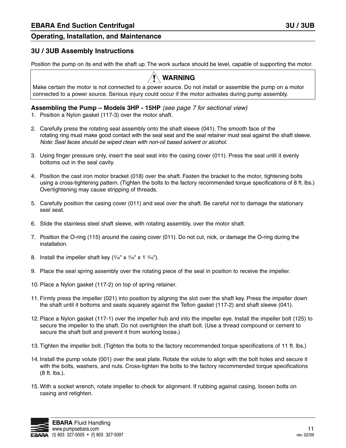#### **3U / 3UB Assembly Instructions**

Position the pump on its end with the shaft up. The work surface should be level, capable of supporting the motor.



Make certain the motor is not connected to a power source. Do not install or assemble the pump on a motor connected to a power source. Serious injury could occur if the motor activates during pump assembly.

#### **Assembling the Pump – Models 3HP - 15HP** (see page 7 for sectional view)

- 1. Position a Nylon gasket (117-3) over the motor shaft.
- 2. Carefully press the rotating seal assembly onto the shaft sleeve (041). The smooth face of the rotating ring must make good contact with the seal seat and the seal retainer must seal against the shaft sleeve. Note: Seal faces should be wiped clean with non-oil based solvent or alcohol.
- 3. Using finger pressure only, insert the seal seat into the casing cover (011). Press the seal until it evenly bottoms out in the seal cavity.
- 4. Position the cast iron motor bracket (018) over the shaft. Fasten the bracket to the motor, tightening bolts using a cross-tightening pattern. (Tighten the bolts to the factory recommended torque specifications of 8 ft. lbs.) Overtightening may cause stripping of threads.
- 5. Carefully position the casing cover (011) and seal over the shaft. Be careful not to damage the stationary seal seat.
- 6. Slide the stainless steel shaft sleeve, with rotating assembly, over the motor shaft.
- 7. Position the O-ring (115) around the casing cover (011). Do not cut, nick, or damage the O-ring during the installation.
- 8. Install the impeller shaft key  $(3/16" \times 3/16" \times 1 \frac{3}{16})$ .
- 9. Place the seal spring assembly over the rotating piece of the seal in position to receive the impeller.
- 10. Place a Nylon gasket (117-2) on top of spring retainer.
- 11. Firmly press the impeller (021) into position by aligning the slot over the shaft key. Press the impeller down the shaft until it bottoms and seats squarely against the Teflon gasket (117-2) and shaft sleeve (041).
- 12. Place a Nylon gasket (117-1) over the impeller hub and into the impeller eye. Install the impeller bolt (125) to secure the impeller to the shaft. Do not overtighten the shaft bolt. (Use a thread compound or cement to secure the shaft bolt and prevent it from working loose.)
- 13. Tighten the impeller bolt. (Tighten the bolts to the factory recommended torque specifications of 11 ft. lbs.)
- 14. Install the pump volute (001) over the seal plate. Rotate the volute to align with the bolt holes and secure it with the bolts, washers, and nuts. Cross-tighten the bolts to the factory recommended torque specifications (8 ft. lbs.).
- 15. With a socket wrench, rotate impeller to check for alignment. If rubbing against casing, loosen bolts on casing and retighten.

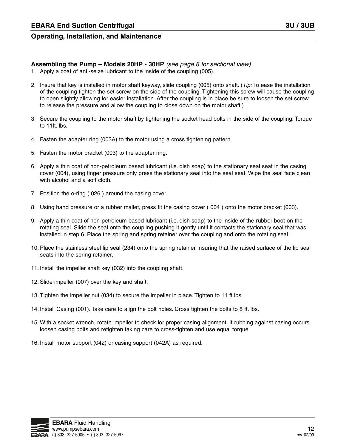#### **Assembling the Pump – Models 20HP - 30HP** (see page 8 for sectional view)

- 1. Apply a coat of anti-seize lubricant to the inside of the coupling (005).
- 2. Insure that key is installed in motor shaft keyway, slide coupling (005) onto shaft. (Tip: To ease the installation of the coupling tighten the set screw on the side of the coupling. Tightening this screw will cause the coupling to open slightly allowing for easier installation. After the coupling is in place be sure to loosen the set screw to release the pressure and allow the coupling to close down on the motor shaft.)
- 3. Secure the coupling to the motor shaft by tightening the socket head bolts in the side of the coupling. Torque to 11ft. lbs.
- 4. Fasten the adapter ring (003A) to the motor using a cross tightening pattern.
- 5. Fasten the motor bracket (003) to the adapter ring.
- 6. Apply a thin coat of non-petroleum based lubricant (i.e. dish soap) to the stationary seal seat in the casing cover (004), using finger pressure only press the stationary seal into the seal seat. Wipe the seal face clean with alcohol and a soft cloth.
- 7. Position the o-ring ( 026 ) around the casing cover.
- 8. Using hand pressure or a rubber mallet, press fit the casing cover ( 004 ) onto the motor bracket (003).
- 9. Apply a thin coat of non-petroleum based lubricant (i.e. dish soap) to the inside of the rubber boot on the rotating seal. Slide the seal onto the coupling pushing it gently until it contacts the stationary seal that was installed in step 6. Place the spring and spring retainer over the coupling and onto the rotating seal.
- 10. Place the stainless steel lip seal (234) onto the spring retainer insuring that the raised surface of the lip seal seats into the spring retainer.
- 11. Install the impeller shaft key (032) into the coupling shaft.
- 12. Slide impeller (007) over the key and shaft.
- 13. Tighten the impeller nut (034) to secure the impeller in place. Tighten to 11 ft.lbs
- 14. Install Casing (001). Take care to align the bolt holes. Cross tighten the bolts to 8 ft. lbs.
- 15. With a socket wrench, rotate impeller to check for proper casing alignment. If rubbing against casing occurs loosen casing bolts and retighten taking care to cross-tighten and use equal torque.
- 16. Install motor support (042) or casing support (042A) as required.

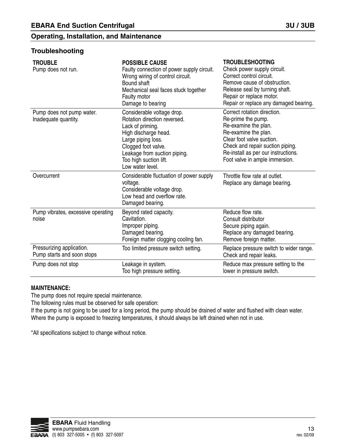#### **Troubleshooting**

| <b>TROUBLE</b><br>Pump does not run.                    | <b>POSSIBLE CAUSE</b><br>Faulty connection of power supply circuit.<br>Wrong wiring of control circuit.<br>Bound shaft<br>Mechanical seal faces stuck together<br>Faulty motor<br>Damage to bearing                               | <b>TROUBLESHOOTING</b><br>Check power supply circuit.<br>Correct control circuit.<br>Remove cause of obstruction.<br>Release seal by turning shaft.<br>Repair or replace motor.<br>Repair or replace any damaged bearing.                   |
|---------------------------------------------------------|-----------------------------------------------------------------------------------------------------------------------------------------------------------------------------------------------------------------------------------|---------------------------------------------------------------------------------------------------------------------------------------------------------------------------------------------------------------------------------------------|
| Pump does not pump water.<br>Inadequate quantity.       | Considerable voltage drop.<br>Rotation direction reversed.<br>Lack of priming.<br>High discharge head.<br>Large piping loss.<br>Clogged foot valve.<br>Leakage from suction piping.<br>Too high suction lift.<br>Low water level. | Correct rotation direction.<br>Re-prime the pump.<br>Re-examine the plan.<br>Re-examine the plan.<br>Clear foot valve suction.<br>Check and repair suction piping.<br>Re-install as per our instructions.<br>Foot valve in ample immersion. |
| Overcurrent                                             | Considerable fluctuation of power supply<br>voltage.<br>Considerable voltage drop.<br>Low head and overflow rate.<br>Damaged bearing.                                                                                             | Throttle flow rate at outlet.<br>Replace any damage bearing.                                                                                                                                                                                |
| Pump vibrates, excessive operating<br>noise             | Beyond rated capacity.<br>Cavitation.<br>Improper piping.<br>Damaged bearing.<br>Foreign matter clogging cooling fan.                                                                                                             | Reduce flow rate.<br>Consult distributor<br>Secure piping again.<br>Replace any damaged bearing.<br>Remove foreign matter.                                                                                                                  |
| Pressurizing application.<br>Pump starts and soon stops | Too limited pressure switch setting.                                                                                                                                                                                              | Replace pressure switch to wider range.<br>Check and repair leaks.                                                                                                                                                                          |
| Pump does not stop                                      | Leakage in system.<br>Too high pressure setting.                                                                                                                                                                                  | Reduce max pressure setting to the<br>lower in pressure switch.                                                                                                                                                                             |

#### **MAINTENANCE:**

The pump does not require special maintenance.

The following rules must be observed for safe operation:

If the pump is not going to be used for a long period, the pump should be drained of water and flushed with clean water. Where the pump is exposed to freezing temperatures, it should always be left drained when not in use.

\*All specifications subject to change without notice.